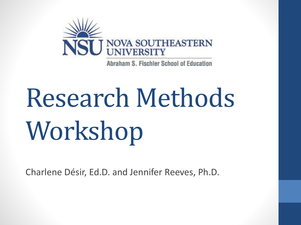

Abraham S. Fischler School of Education

# Research Methods Workshop

Charlene Désir, Ed.D. and Jennifer Reeves, Ph.D.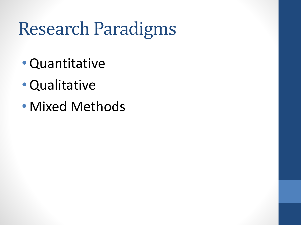### Research Paradigms

- •Quantitative
- •Qualitative
- Mixed Methods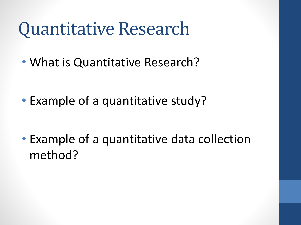#### Quantitative Research

• What is Quantitative Research?

• Example of a quantitative study?

• Example of a quantitative data collection method?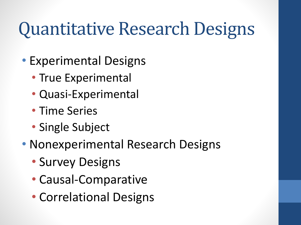#### Quantitative Research Designs

- Experimental Designs
	- True Experimental
	- Quasi-Experimental
	- Time Series
	- Single Subject
- Nonexperimental Research Designs
	- Survey Designs
	- Causal-Comparative
	- Correlational Designs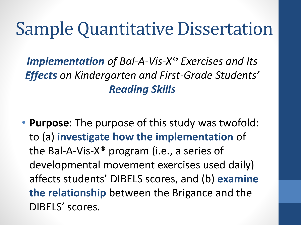#### Sample Quantitative Dissertation

*Implementation of Bal-A-Vis-X® Exercises and Its Effects on Kindergarten and First-Grade Students' Reading Skills*

• **Purpose**: The purpose of this study was twofold: to (a) **investigate how the implementation** of the Bal-A-Vis-X® program (i.e., a series of developmental movement exercises used daily) affects students' DIBELS scores, and (b) **examine the relationship** between the Brigance and the DIBELS' scores.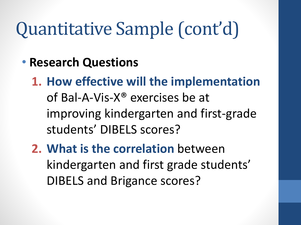## Quantitative Sample (cont'd)

- **Research Questions**
	- **1. How effective will the implementation**  of Bal-A-Vis-X® exercises be at improving kindergarten and first-grade students' DIBELS scores?
	- **2. What is the correlation** between kindergarten and first grade students' DIBELS and Brigance scores?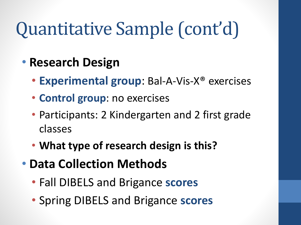## Quantitative Sample (cont'd)

- **Research Design**
	- **Experimental group**: Bal-A-Vis-X® exercises
	- **Control group**: no exercises
	- Participants: 2 Kindergarten and 2 first grade classes
	- **What type of research design is this?**
- **Data Collection Methods**
	- Fall DIBELS and Brigance **scores**
	- Spring DIBELS and Brigance **scores**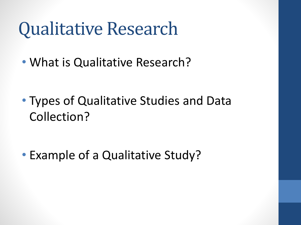#### Qualitative Research

• What is Qualitative Research?

• Types of Qualitative Studies and Data Collection?

• Example of a Qualitative Study?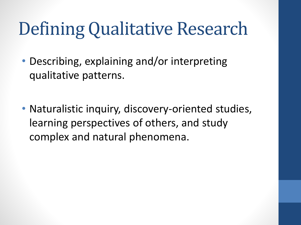## Defining Qualitative Research

- Describing, explaining and/or interpreting qualitative patterns.
- Naturalistic inquiry, discovery-oriented studies, learning perspectives of others, and study complex and natural phenomena.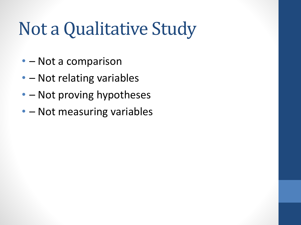### Not a Qualitative Study

- – Not a comparison
- – Not relating variables
- – Not proving hypotheses
- - Not measuring variables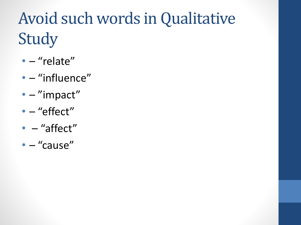### Avoid such words in Qualitative Study

- – "relate"
- – "influence"
- - "impact"
- - "effect"
- - "affect"
- – "cause"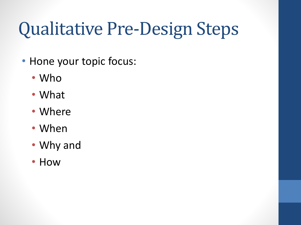## Qualitative Pre-Design Steps

- Hone your topic focus:
	- Who
	- What
	- Where
	- When
	- Why and
	- How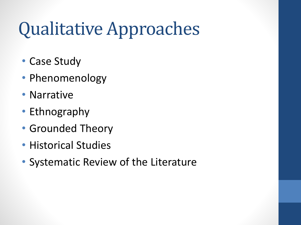## Qualitative Approaches

- Case Study
- Phenomenology
- Narrative
- Ethnography
- Grounded Theory
- Historical Studies
- Systematic Review of the Literature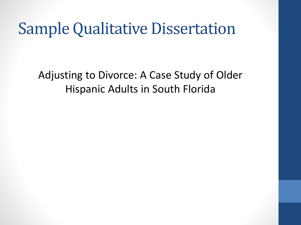#### Sample Qualitative Dissertation

Adjusting to Divorce: A Case Study of Older Hispanic Adults in South Florida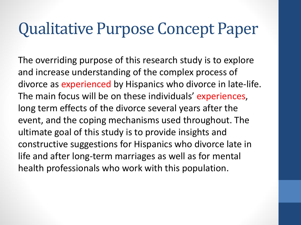#### Qualitative Purpose Concept Paper

The overriding purpose of this research study is to explore and increase understanding of the complex process of divorce as experienced by Hispanics who divorce in late-life. The main focus will be on these individuals' experiences, long term effects of the divorce several years after the event, and the coping mechanisms used throughout. The ultimate goal of this study is to provide insights and constructive suggestions for Hispanics who divorce late in life and after long-term marriages as well as for mental health professionals who work with this population.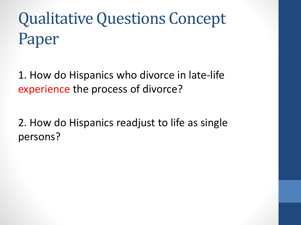## Qualitative Questions Concept Paper

1. How do Hispanics who divorce in late-life experience the process of divorce?

2. How do Hispanics readjust to life as single persons?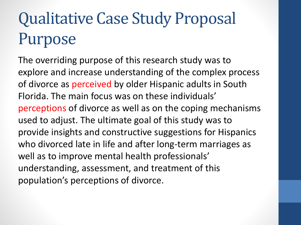#### Qualitative Case Study Proposal Purpose

The overriding purpose of this research study was to explore and increase understanding of the complex process of divorce as perceived by older Hispanic adults in South Florida. The main focus was on these individuals' perceptions of divorce as well as on the coping mechanisms used to adjust. The ultimate goal of this study was to provide insights and constructive suggestions for Hispanics who divorced late in life and after long-term marriages as well as to improve mental health professionals' understanding, assessment, and treatment of this population's perceptions of divorce.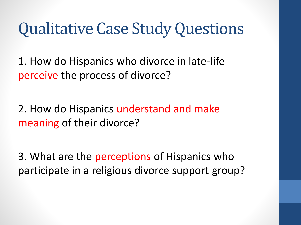#### Qualitative Case Study Questions

1. How do Hispanics who divorce in late-life perceive the process of divorce?

2. How do Hispanics understand and make meaning of their divorce?

3. What are the perceptions of Hispanics who participate in a religious divorce support group?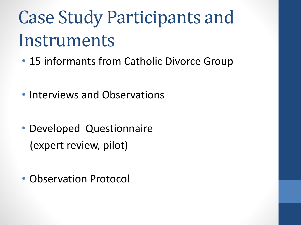## Case Study Participants and Instruments

- 15 informants from Catholic Divorce Group
- Interviews and Observations
- Developed Questionnaire (expert review, pilot)
- Observation Protocol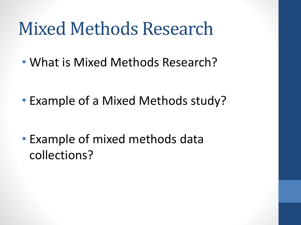#### Mixed Methods Research

• What is Mixed Methods Research?

• Example of a Mixed Methods study?

• Example of mixed methods data collections?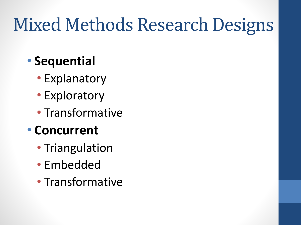## Mixed Methods Research Designs

#### • **Sequential**

- Explanatory
- Exploratory
- Transformative
- **Concurrent**
	- Triangulation
	- Embedded
	- Transformative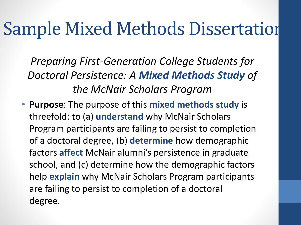#### Sample Mixed Methods Dissertation

*Preparing First-Generation College Students for Doctoral Persistence: A Mixed Methods Study of the McNair Scholars Program* 

• **Purpose**: The purpose of this **mixed methods study** is threefold: to (a) **understand** why McNair Scholars Program participants are failing to persist to completion of a doctoral degree, (b) **determine** how demographic factors **affect** McNair alumni's persistence in graduate school, and (c) determine how the demographic factors help **explain** why McNair Scholars Program participants are failing to persist to completion of a doctoral degree.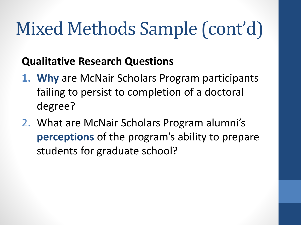#### **Qualitative Research Questions**

- **1. Why** are McNair Scholars Program participants failing to persist to completion of a doctoral degree?
- 2. What are McNair Scholars Program alumni's **perceptions** of the program's ability to prepare students for graduate school?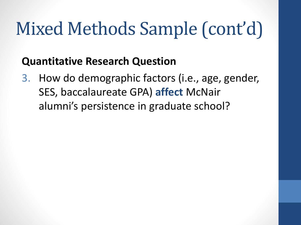#### **Quantitative Research Question**

3. How do demographic factors (i.e., age, gender, SES, baccalaureate GPA) **affect** McNair alumni's persistence in graduate school?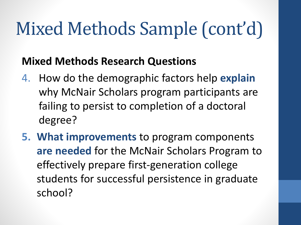#### **Mixed Methods Research Questions**

- 4. How do the demographic factors help **explain** why McNair Scholars program participants are failing to persist to completion of a doctoral degree?
- **5. What improvements** to program components **are needed** for the McNair Scholars Program to effectively prepare first-generation college students for successful persistence in graduate school?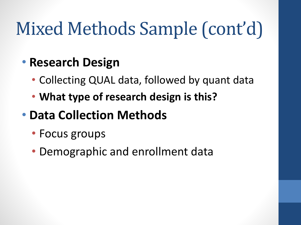#### • **Research Design**

- Collecting QUAL data, followed by quant data
- **What type of research design is this?**

#### • **Data Collection Methods**

- Focus groups
- Demographic and enrollment data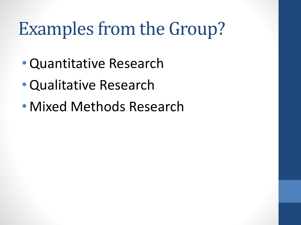## Examples from the Group?

- •Quantitative Research
- •Qualitative Research
- Mixed Methods Research